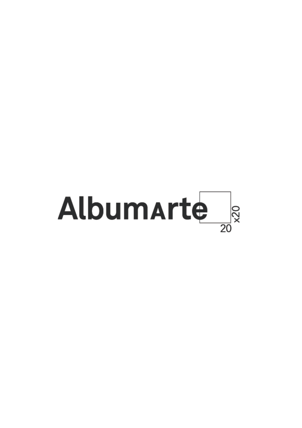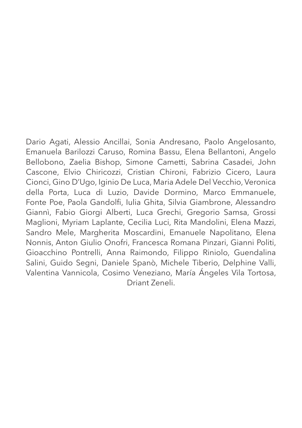Dario Agati, Alessio Ancillai, Sonia Andresano, Paolo Angelosanto, Emanuela Barilozzi Caruso, Romina Bassu, Elena Bellantoni, Angelo Bellobono, Zaelia Bishop, Simone Cametti, Sabrina Casadei, John Cascone, Elvio Chiricozzi, Cristian Chironi, Fabrizio Cicero, Laura Cionci, Gino D'Ugo, Iginio De Luca, Maria Adele Del Vecchio, Veronica della Porta, Luca di Luzio, Davide Dormino, Marco Emmanuele, Fonte Poe, Paola Gandolfi, Iulia Ghita, Silvia Giambrone, Alessandro Giannì, Fabio Giorgi Alberti, Luca Grechi, Gregorio Samsa, Grossi Maglioni, Myriam Laplante, Cecilia Luci, Rita Mandolini, Elena Mazzi, Sandro Mele, Margherita Moscardini, Emanuele Napolitano, Elena Nonnis, Anton Giulio Onofri, Francesca Romana Pinzari, Gianni Politi, Gioacchino Pontrelli, Anna Raimondo, Filippo Riniolo, Guendalina Salini, Guido Segni, Daniele Spanò, Michele Tiberio, Delphine Valli, Valentina Vannicola, Cosimo Veneziano, María Ángeles Vila Tortosa, Driant Zeneli.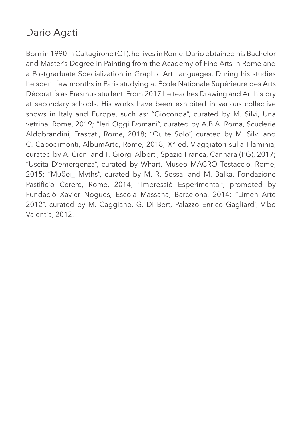## Dario Agati

Born in 1990 in Caltagirone (CT), he lives in Rome. Dario obtained his Bachelor and Master's Degree in Painting from the Academy of Fine Arts in Rome and a Postgraduate Specialization in Graphic Art Languages. During his studies he spent few months in Paris studying at École Nationale Supérieure des Arts Décoratifs as Erasmus student. From 2017 he teaches Drawing and Art history at secondary schools. His works have been exhibited in various collective shows in Italy and Europe, such as: "Gioconda", curated by M. Silvi, Una vetrina, Rome, 2019; "Ieri Oggi Domani", curated by A.B.A. Roma, Scuderie Aldobrandini, Frascati, Rome, 2018; "Quite Solo", curated by M. Silvi and C. Capodimonti, AlbumArte, Rome, 2018; X° ed. Viaggiatori sulla Flaminia, curated by A. Cioni and F. Giorgi Alberti, Spazio Franca, Cannara (PG), 2017; "Uscita D'emergenza", curated by Whart, Museo MACRO Testaccio, Rome, 2015; "Μύθοι\_ Myths", curated by M. R. Sossai and M. Balka, Fondazione Pastificio Cerere, Rome, 2014; "Impressiò Esperimental", promoted by Fundaciò Xavier Nogues, Escola Massana, Barcelona, 2014; "Limen Arte 2012", curated by M. Caggiano, G. Di Bert, Palazzo Enrico Gagliardi, Vibo Valentia, 2012.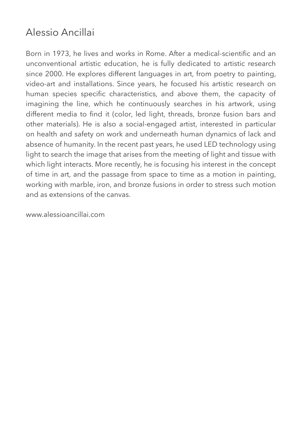#### Alessio Ancillai

Born in 1973, he lives and works in Rome. After a medical-scientific and an unconventional artistic education, he is fully dedicated to artistic research since 2000. He explores different languages in art, from poetry to painting, video-art and installations. Since years, he focused his artistic research on human species specific characteristics, and above them, the capacity of imagining the line, which he continuously searches in his artwork, using different media to find it (color, led light, threads, bronze fusion bars and other materials). He is also a social-engaged artist, interested in particular on health and safety on work and underneath human dynamics of lack and absence of humanity. In the recent past years, he used LED technology using light to search the image that arises from the meeting of light and tissue with which light interacts. More recently, he is focusing his interest in the concept of time in art, and the passage from space to time as a motion in painting, working with marble, iron, and bronze fusions in order to stress such motion and as extensions of the canvas.

www.alessioancillai.com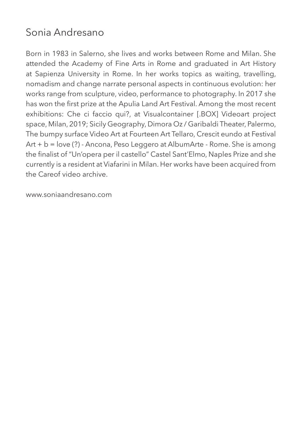#### Sonia Andresano

Born in 1983 in Salerno, she lives and works between Rome and Milan. She attended the Academy of Fine Arts in Rome and graduated in Art History at Sapienza University in Rome. In her works topics as waiting, travelling, nomadism and change narrate personal aspects in continuous evolution: her works range from sculpture, video, performance to photography. In 2017 she has won the first prize at the Apulia Land Art Festival. Among the most recent exhibitions: Che ci faccio qui?, at Visualcontainer [.BOX] Videoart project space, Milan, 2019; Sicily Geography, Dimora Oz / Garibaldi Theater, Palermo, The bumpy surface Video Art at Fourteen Art Tellaro, Crescit eundo at Festival Art + b = love (?) - Ancona, Peso Leggero at AlbumArte - Rome. She is among the finalist of "Un'opera per il castello" Castel Sant'Elmo, Naples Prize and she currently is a resident at Viafarini in Milan. Her works have been acquired from the Careof video archive.

www.soniaandresano.com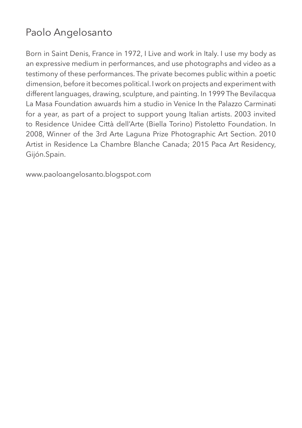# Paolo Angelosanto

Born in Saint Denis, France in 1972, I Live and work in Italy. I use my body as an expressive medium in performances, and use photographs and video as a testimony of these performances. The private becomes public within a poetic dimension, before it becomes political. I work on projects and experiment with different languages, drawing, sculpture, and painting. In 1999 The Bevilacqua La Masa Foundation awuards him a studio in Venice In the Palazzo Carminati for a year, as part of a project to support young Italian artists. 2003 invited to Residence Unidee Città dell'Arte (Biella Torino) Pistoletto Foundation. In 2008, Winner of the 3rd Arte Laguna Prize Photographic Art Section. 2010 Artist in Residence La Chambre Blanche Canada; 2015 Paca Art Residency, Gijón.Spain.

www.paoloangelosanto.blogspot.com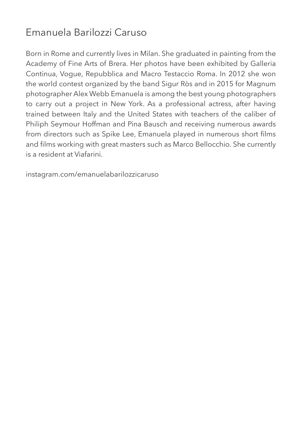#### Emanuela Barilozzi Caruso

Born in Rome and currently lives in Milan. She graduated in painting from the Academy of Fine Arts of Brera. Her photos have been exhibited by Galleria Continua, Vogue, Repubblica and Macro Testaccio Roma. In 2012 she won the world contest organized by the band Sigur Ròs and in 2015 for Magnum photographer Alex Webb Emanuela is among the best young photographers to carry out a project in New York. As a professional actress, after having trained between Italy and the United States with teachers of the caliber of Philiph Seymour Hoffman and Pina Bausch and receiving numerous awards from directors such as Spike Lee, Emanuela played in numerous short films and films working with great masters such as Marco Bellocchio. She currently is a resident at Viafarini.

instagram.com/emanuelabarilozzicaruso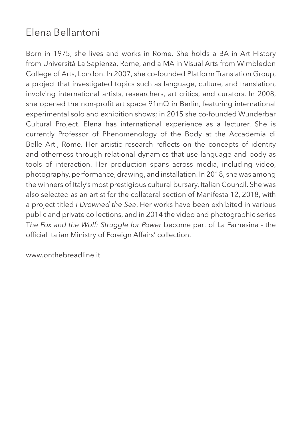#### Elena Bellantoni

Born in 1975, she lives and works in Rome. She holds a BA in Art History from Università La Sapienza, Rome, and a MA in Visual Arts from Wimbledon College of Arts, London. In 2007, she co-founded Platform Translation Group, a project that investigated topics such as language, culture, and translation, involving international artists, researchers, art critics, and curators. In 2008, she opened the non-profit art space 91mQ in Berlin, featuring international experimental solo and exhibition shows; in 2015 she co-founded Wunderbar Cultural Project. Elena has international experience as a lecturer. She is currently Professor of Phenomenology of the Body at the Accademia di Belle Arti, Rome. Her artistic research reflects on the concepts of identity and otherness through relational dynamics that use language and body as tools of interaction. Her production spans across media, including video, photography, performance, drawing, and installation. In 2018, she was among the winners of Italy's most prestigious cultural bursary, Italian Council. She was also selected as an artist for the collateral section of Manifesta 12, 2018, with a project titled *I Drowned the Sea*. Her works have been exhibited in various public and private collections, and in 2014 the video and photographic series T*he Fox and the Wolf: Struggle for Power* become part of La Farnesina - the official Italian Ministry of Foreign Affairs' collection.

www.onthebreadline.it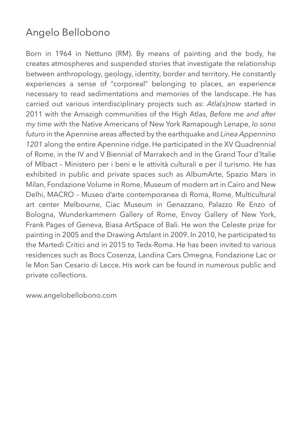# Angelo Bellobono

Born in 1964 in Nettuno (RM). By means of painting and the body, he creates atmospheres and suspended stories that investigate the relationship between anthropology, geology, identity, border and territory. He constantly experiences a sense of "corporeal" belonging to places, an experience necessary to read sedimentations and memories of the landscape. He has carried out various interdisciplinary projects such as: *Atla(s)now* started in 2011 with the Amazigh communities of the High Atlas, *Before me and after my time* with the Native Americans of New York Ramapough Lenape, *Io sono futuro* in the Apennine areas affected by the earthquake and *Linea Appennino 1201* along the entire Apennine ridge. He participated in the XV Quadrennial of Rome, in the IV and V Biennial of Marrakech and in the Grand Tour d´Italie of MIbact – Ministero per i beni e le attività culturali e per il turismo. He has exhibited in public and private spaces such as AlbumArte, Spazio Mars in Milan, Fondazione Volume in Rome, Museum of modern art in Cairo and New Delhi, MACRO – Museo d'arte contemporanea di Roma, Rome, Multicultural art center Melbourne, Ciac Museum in Genazzano, Palazzo Re Enzo of Bologna, Wunderkammern Gallery of Rome, Envoy Gallery of New York, Frank Pages of Geneva, Biasa ArtSpace of Bali. He won the Celeste prize for painting in 2005 and the Drawing Artslant in 2009. In 2010, he participated to the Martedì Critici and in 2015 to Tedx-Roma. He has been invited to various residences such as Bocs Cosenza, Landina Cars Omegna, Fondazione Lac or le Mon San Cesario di Lecce. His work can be found in numerous public and private collections.

www.angelobellobono.com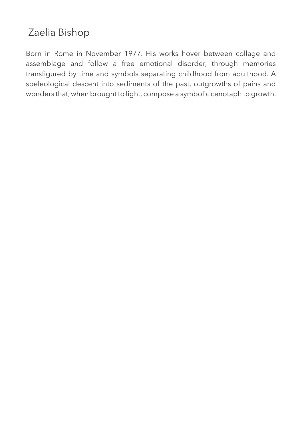# Zaelia Bishop

Born in Rome in November 1977. His works hover between collage and assemblage and follow a free emotional disorder, through memories transfigured by time and symbols separating childhood from adulthood. A speleological descent into sediments of the past, outgrowths of pains and wonders that, when brought to light, compose a symbolic cenotaph to growth.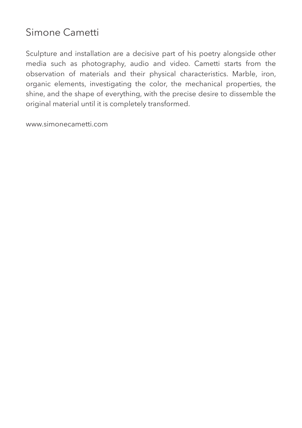#### Simone Cametti

Sculpture and installation are a decisive part of his poetry alongside other media such as photography, audio and video. Cametti starts from the observation of materials and their physical characteristics. Marble, iron, organic elements, investigating the color, the mechanical properties, the shine, and the shape of everything, with the precise desire to dissemble the original material until it is completely transformed.

www.simonecametti.com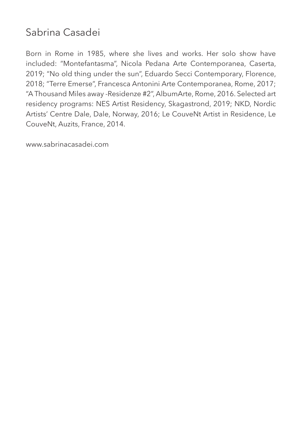## Sabrina Casadei

Born in Rome in 1985, where she lives and works. Her solo show have included: "Montefantasma", Nicola Pedana Arte Contemporanea, Caserta, 2019; "No old thing under the sun", Eduardo Secci Contemporary, Florence, 2018; "Terre Emerse", Francesca Antonini Arte Contemporanea, Rome, 2017; "A Thousand Miles away -Residenze #2", AlbumArte, Rome, 2016. Selected art residency programs: NES Artist Residency, Skagastrond, 2019; NKD, Nordic Artists' Centre Dale, Dale, Norway, 2016; Le CouveNt Artist in Residence, Le CouveNt, Auzits, France, 2014.

www.sabrinacasadei.com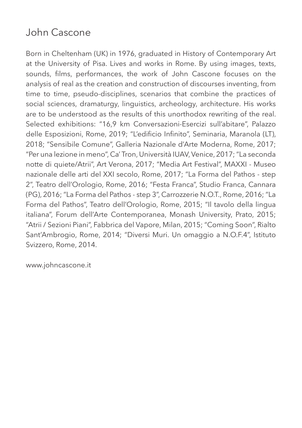#### John Cascone

Born in Cheltenham (UK) in 1976, graduated in History of Contemporary Art at the University of Pisa. Lives and works in Rome. By using images, texts, sounds, films, performances, the work of John Cascone focuses on the analysis of real as the creation and construction of discourses inventing, from time to time, pseudo-disciplines, scenarios that combine the practices of social sciences, dramaturgy, linguistics, archeology, architecture. His works are to be understood as the results of this unorthodox rewriting of the real. Selected exhibitions: "16,9 km Conversazioni-Esercizi sull'abitare", Palazzo delle Esposizioni, Rome, 2019; "L'edificio Infinito", Seminaria, Maranola (LT), 2018; "Sensibile Comune", Galleria Nazionale d'Arte Moderna, Rome, 2017; "Per una lezione in meno", Ca' Tron, Università IUAV, Venice, 2017; "La seconda notte di quiete/Atrii", Art Verona, 2017; "Media Art Festival", MAXXI - Museo nazionale delle arti del XXI secolo, Rome, 2017; "La Forma del Pathos - step 2", Teatro dell'Orologio, Rome, 2016; "Festa Franca", Studio Franca, Cannara (PG), 2016; "La Forma del Pathos - step 3", Carrozzerie N.O.T., Rome, 2016; "La Forma del Pathos", Teatro dell'Orologio, Rome, 2015; "Il tavolo della lingua italiana", Forum dell'Arte Contemporanea, Monash University, Prato, 2015; "Atrii / Sezioni Piani", Fabbrica del Vapore, Milan, 2015; "Coming Soon", Rialto Sant'Ambrogio, Rome, 2014; "Diversi Muri. Un omaggio a N.O.F.4", Istituto Svizzero, Rome, 2014.

www.johncascone.it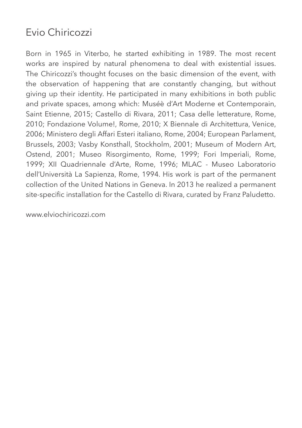#### Evio Chiricozzi

Born in 1965 in Viterbo, he started exhibiting in 1989. The most recent works are inspired by natural phenomena to deal with existential issues. The Chiricozzi's thought focuses on the basic dimension of the event, with the observation of happening that are constantly changing, but without giving up their identity. He participated in many exhibitions in both public and private spaces, among which: Muséè d'Art Moderne et Contemporain, Saint Etienne, 2015; Castello di Rivara, 2011; Casa delle letterature, Rome, 2010; Fondazione Volume!, Rome, 2010; X Biennale di Architettura, Venice, 2006; Ministero degli Affari Esteri italiano, Rome, 2004; European Parlament, Brussels, 2003; Vasby Konsthall, Stockholm, 2001; Museum of Modern Art, Ostend, 2001; Museo Risorgimento, Rome, 1999; Fori Imperiali, Rome, 1999; XII Quadriennale d'Arte, Rome, 1996; MLAC - Museo Laboratorio dell'Università La Sapienza, Rome, 1994. His work is part of the permanent collection of the United Nations in Geneva. In 2013 he realized a permanent site-specific installation for the Castello di Rivara, curated by Franz Paludetto.

www.elviochiricozzi.com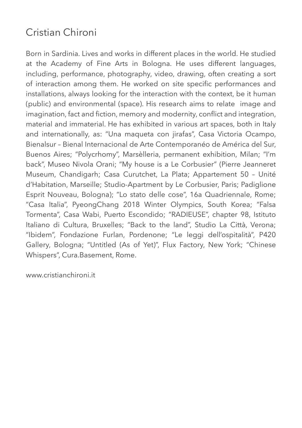#### Cristian Chironi

Born in Sardinia. Lives and works in different places in the world. He studied at the Academy of Fine Arts in Bologna. He uses different languages, including, performance, photography, video, drawing, often creating a sort of interaction among them. He worked on site specific performances and installations, always looking for the interaction with the context, be it human (public) and environmental (space). His research aims to relate image and imagination, fact and fiction, memory and modernity, conflict and integration, material and immaterial. He has exhibited in various art spaces, both in Italy and internationally, as: "Una maqueta con jirafas", Casa Victoria Ocampo, Bienalsur – Bienal Internacional de Arte Contemporanéo de América del Sur, Buenos Aires; "Polycrhomy", Marsèlleria, permanent exhibition, Milan; "I'm back", Museo Nivola Orani; "My house is a Le Corbusier" (Pierre Jeanneret Museum, Chandigarh; Casa Curutchet, La Plata; Appartement 50 – Unité d'Habitation, Marseille; Studio-Apartment by Le Corbusier, Paris; Padiglione Esprit Nouveau, Bologna); "Lo stato delle cose", 16a Quadriennale, Rome; "Casa Italia", PyeongChang 2018 Winter Olympics, South Korea; "Falsa Tormenta", Casa Wabi, Puerto Escondido; "RADIEUSE", chapter 98, Istituto Italiano di Cultura, Bruxelles; "Back to the land", Studio La Città, Verona; "Ibidem", Fondazione Furlan, Pordenone; "Le leggi dell'ospitalità", P420 Gallery, Bologna; "Untitled (As of Yet)", Flux Factory, New York; "Chinese Whispers", Cura.Basement, Rome.

www.cristianchironi.it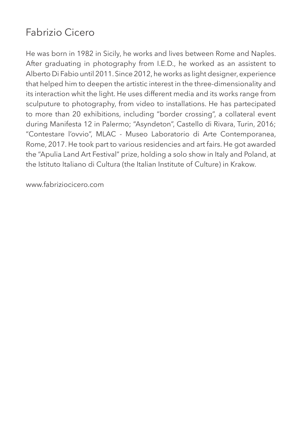# Fabrizio Cicero

He was born in 1982 in Sicily, he works and lives between Rome and Naples. After graduating in photography from I.E.D., he worked as an assistent to Alberto Di Fabio until 2011. Since 2012, he works as light designer, experience that helped him to deepen the artistic interest in the three-dimensionality and its interaction whit the light. He uses different media and its works range from sculputure to photography, from video to installations. He has partecipated to more than 20 exhibitions, including "border crossing", a collateral event during Manifesta 12 in Palermo; "Asyndeton", Castello di Rivara, Turin, 2016; "Contestare l'ovvio", MLAC - Museo Laboratorio di Arte Contemporanea, Rome, 2017. He took part to various residencies and art fairs. He got awarded the "Apulia Land Art Festival" prize, holding a solo show in Italy and Poland, at the Istituto Italiano di Cultura (the Italian Institute of Culture) in Krakow.

www.fabriziocicero.com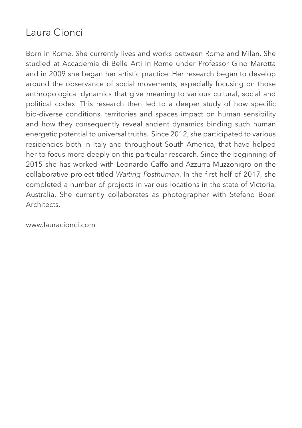#### Laura Cionci

Born in Rome. She currently lives and works between Rome and Milan. She studied at Accademia di Belle Arti in Rome under Professor Gino Marotta and in 2009 she began her artistic practice. Her research began to develop around the observance of social movements, especially focusing on those anthropological dynamics that give meaning to various cultural, social and political codex. This research then led to a deeper study of how specific bio-diverse conditions, territories and spaces impact on human sensibility and how they consequently reveal ancient dynamics binding such human energetic potential to universal truths. Since 2012, she participated to various residencies both in Italy and throughout South America, that have helped her to focus more deeply on this particular research. Since the beginning of 2015 she has worked with Leonardo Caffo and Azzurra Muzzonigro on the collaborative project titled *Waiting Posthuman*. In the first helf of 2017, she completed a number of projects in various locations in the state of Victoria, Australia. She currently collaborates as photographer with Stefano Boeri **Architects** 

www.lauracionci.com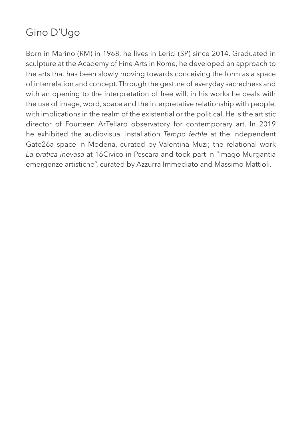# Gino D'Ugo

Born in Marino (RM) in 1968, he lives in Lerici (SP) since 2014. Graduated in sculpture at the Academy of Fine Arts in Rome, he developed an approach to the arts that has been slowly moving towards conceiving the form as a space of interrelation and concept. Through the gesture of everyday sacredness and with an opening to the interpretation of free will, in his works he deals with the use of image, word, space and the interpretative relationship with people, with implications in the realm of the existential or the political. He is the artistic director of Fourteen ArTellaro observatory for contemporary art. In 2019 he exhibited the audiovisual installation *Tempo fertile* at the independent Gate26a space in Modena, curated by Valentina Muzi; the relational work *La pratica inevasa* at 16Civico in Pescara and took part in "Imago Murgantia emergenze artistiche", curated by Azzurra Immediato and Massimo Mattioli.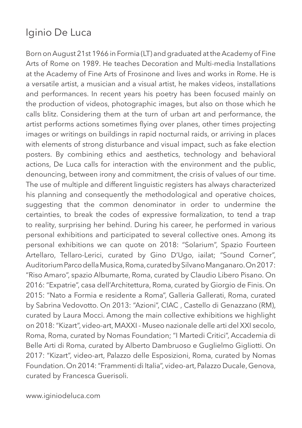#### Iginio De Luca

Born on August 21st 1966 in Formia (LT) and graduated at the Academy of Fine Arts of Rome on 1989. He teaches Decoration and Multi-media Installations at the Academy of Fine Arts of Frosinone and lives and works in Rome. He is a versatile artist, a musician and a visual artist, he makes videos, installations and performances. In recent years his poetry has been focused mainly on the production of videos, photographic images, but also on those which he calls blitz. Considering them at the turn of urban art and performance, the artist performs actions sometimes flying over planes, other times projecting images or writings on buildings in rapid nocturnal raids, or arriving in places with elements of strong disturbance and visual impact, such as fake election posters. By combining ethics and aesthetics, technology and behavioral actions, De Luca calls for interaction with the environment and the public, denouncing, between irony and commitment, the crisis of values of our time. The use of multiple and different linguistic registers has always characterized his planning and consequently the methodological and operative choices, suggesting that the common denominator in order to undermine the certainties, to break the codes of expressive formalization, to tend a trap to reality, surprising her behind. During his career, he performed in various personal exhibitions and participated to several collective ones. Among its personal exhibitions we can quote on 2018: "Solarium", Spazio Fourteen Artellaro, Tellaro-Lerici, curated by Gino D'Ugo, iailat; "Sound Corner", Auditorium Parco della Musica, Roma, curated by Silvano Manganaro. On 2017: "Riso Amaro", spazio Albumarte, Roma, curated by Claudio Libero Pisano. On 2016: "Expatrie", casa dell'Architettura, Roma, curated by Giorgio de Finis. On 2015: "Nato a Formia e residente a Roma", Galleria Gallerati, Roma, curated by Sabrina Vedovotto. On 2013: "Azioni", CIAC , Castello di Genazzano (RM), curated by Laura Mocci. Among the main collective exhibitions we highlight on 2018: "Kizart", video-art, MAXXI - Museo nazionale delle arti del XXI secolo, Roma, Roma, curated by Nomas Foundation; "I Martedi Critici", Accademia di Belle Arti di Roma, curated by Alberto Dambruoso e Guglielmo Gigliotti. On 2017: "Kizart", video-art, Palazzo delle Esposizioni, Roma, curated by Nomas Foundation. On 2014: "Frammenti di Italia", video-art, Palazzo Ducale, Genova, curated by Francesca Guerisoli.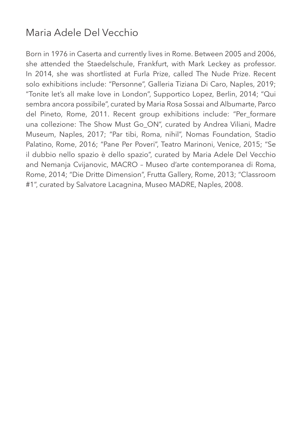## Maria Adele Del Vecchio

Born in 1976 in Caserta and currently lives in Rome. Between 2005 and 2006, she attended the Staedelschule, Frankfurt, with Mark Leckey as professor. In 2014, she was shortlisted at Furla Prize, called The Nude Prize. Recent solo exhibitions include: "Personne", Galleria Tiziana Di Caro, Naples, 2019; "Tonite let's all make love in London", Supportico Lopez, Berlin, 2014; "Qui sembra ancora possibile", curated by Maria Rosa Sossai and Albumarte, Parco del Pineto, Rome, 2011. Recent group exhibitions include: "Per\_formare una collezione: The Show Must Go\_ON", curated by Andrea Viliani, Madre Museum, Naples, 2017; "Par tibi, Roma, nihil", Nomas Foundation, Stadio Palatino, Rome, 2016; "Pane Per Poveri", Teatro Marinoni, Venice, 2015; "Se il dubbio nello spazio è dello spazio", curated by Maria Adele Del Vecchio and Nemanja Cvijanovic, MACRO – Museo d'arte contemporanea di Roma, Rome, 2014; "Die Dritte Dimension", Frutta Gallery, Rome, 2013; "Classroom #1", curated by Salvatore Lacagnina, Museo MADRE, Naples, 2008.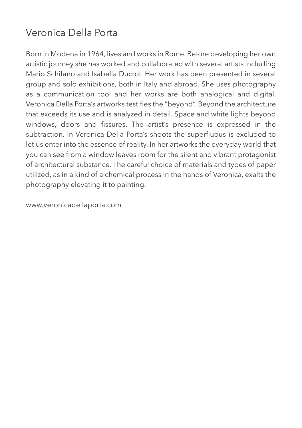## Veronica Della Porta

Born in Modena in 1964, lives and works in Rome. Before developing her own artistic journey she has worked and collaborated with several artists including Mario Schifano and Isabella Ducrot. Her work has been presented in several group and solo exhibitions, both in Italy and abroad. She uses photography as a communication tool and her works are both analogical and digital. Veronica Della Porta's artworks testifies the "beyond". Beyond the architecture that exceeds its use and is analyzed in detail. Space and white lights beyond windows, doors and fissures. The artist's presence is expressed in the subtraction. In Veronica Della Porta's shoots the superfluous is excluded to let us enter into the essence of reality. In her artworks the everyday world that you can see from a window leaves room for the silent and vibrant protagonist of architectural substance. The careful choice of materials and types of paper utilized, as in a kind of alchemical process in the hands of Veronica, exalts the photography elevating it to painting.

www.veronicadellaporta.com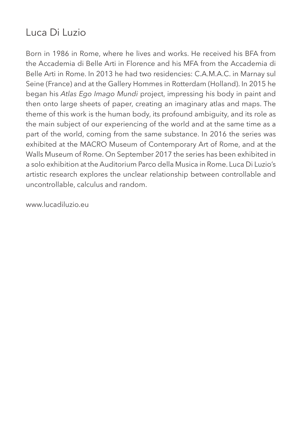#### Luca Di Luzio

Born in 1986 in Rome, where he lives and works. He received his BFA from the Accademia di Belle Arti in Florence and his MFA from the Accademia di Belle Arti in Rome. In 2013 he had two residencies: C.A.M.A.C. in Marnay sul Seine (France) and at the Gallery Hommes in Rotterdam (Holland). In 2015 he began his *Atlas Ego Imago Mundi* project, impressing his body in paint and then onto large sheets of paper, creating an imaginary atlas and maps. The theme of this work is the human body, its profound ambiguity, and its role as the main subject of our experiencing of the world and at the same time as a part of the world, coming from the same substance. In 2016 the series was exhibited at the MACRO Museum of Contemporary Art of Rome, and at the Walls Museum of Rome. On September 2017 the series has been exhibited in a solo exhibition at the Auditorium Parco della Musica in Rome. Luca Di Luzio's artistic research explores the unclear relationship between controllable and uncontrollable, calculus and random.

www.lucadiluzio.eu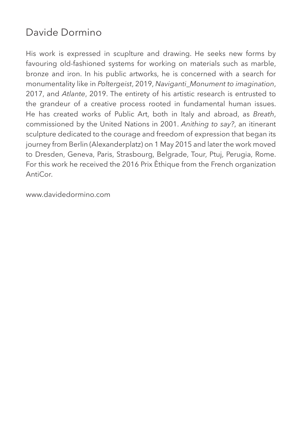#### Davide Dormino

His work is expressed in scuplture and drawing. He seeks new forms by favouring old-fashioned systems for working on materials such as marble, bronze and iron. In his public artworks, he is concerned with a search for monumentality like in *Poltergeist*, 2019, *Naviganti\_Monument to imagination*, 2017, and *Atlante*, 2019. The entirety of his artistic research is entrusted to the grandeur of a creative process rooted in fundamental human issues. He has created works of Public Art, both in Italy and abroad, as *Breath*, commissioned by the United Nations in 2001. *Anithing to say?*, an itinerant sculpture dedicated to the courage and freedom of expression that began its journey from Berlin (Alexanderplatz) on 1 May 2015 and later the work moved to Dresden, Geneva, Paris, Strasbourg, Belgrade, Tour, Ptuj, Perugia, Rome. For this work he received the 2016 Prix Èthique from the French organization AntiCor.

www.davidedormino.com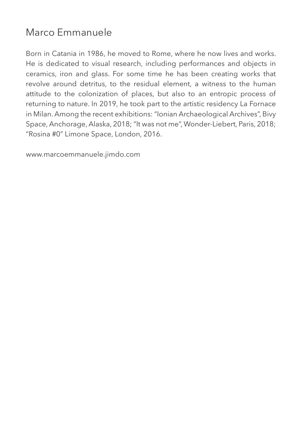#### Marco Emmanuele

Born in Catania in 1986, he moved to Rome, where he now lives and works. He is dedicated to visual research, including performances and objects in ceramics, iron and glass. For some time he has been creating works that revolve around detritus, to the residual element, a witness to the human attitude to the colonization of places, but also to an entropic process of returning to nature. In 2019, he took part to the artistic residency La Fornace in Milan. Among the recent exhibitions: "Ionian Archaeological Archives", Bivy Space, Anchorage, Alaska, 2018; "It was not me", Wonder-Liebert, Paris, 2018; "Rosina #0" Limone Space, London, 2016.

www.marcoemmanuele.jimdo.com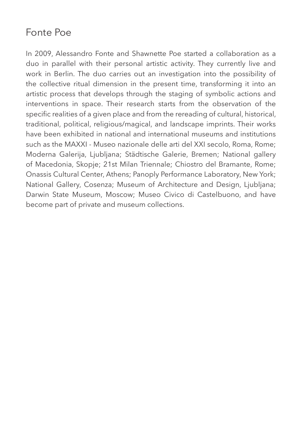#### Fonte Poe

In 2009, Alessandro Fonte and Shawnette Poe started a collaboration as a duo in parallel with their personal artistic activity. They currently live and work in Berlin. The duo carries out an investigation into the possibility of the collective ritual dimension in the present time, transforming it into an artistic process that develops through the staging of symbolic actions and interventions in space. Their research starts from the observation of the specific realities of a given place and from the rereading of cultural, historical, traditional, political, religious/magical, and landscape imprints. Their works have been exhibited in national and international museums and institutions such as the MAXXI - Museo nazionale delle arti del XXI secolo, Roma, Rome; Moderna Galerija, Ljubljana; Städtische Galerie, Bremen; National gallery of Macedonia, Skopje; 21st Milan Triennale; Chiostro del Bramante, Rome; Onassis Cultural Center, Athens; Panoply Performance Laboratory, New York; National Gallery, Cosenza; Museum of Architecture and Design, Ljubljana; Darwin State Museum, Moscow; Museo Civico di Castelbuono, and have become part of private and museum collections.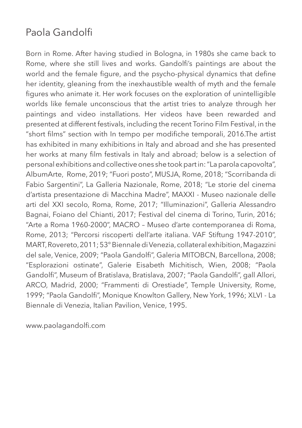## Paola Gandolfi

Born in Rome. After having studied in Bologna, in 1980s she came back to Rome, where she still lives and works. Gandolfi's paintings are about the world and the female figure, and the psycho-physical dynamics that define her identity, gleaning from the inexhaustible wealth of myth and the female figures who animate it. Her work focuses on the exploration of unintelligible worlds like female unconscious that the artist tries to analyze through her paintings and video installations. Her videos have been rewarded and presented at different festivals, including the recent Torino Film Festival, in the "short films" section with In tempo per modifiche temporali, 2016.The artist has exhibited in many exhibitions in Italy and abroad and she has presented her works at many film festivals in Italy and abroad; below is a selection of personal exhibitions and collective ones she took part in: "La parola capovolta", AlbumArte, Rome, 2019; "Fuori posto", MUSJA, Rome, 2018; "Scorribanda di Fabio Sargentini", La Galleria Nazionale, Rome, 2018; "Le storie del cinema d'artista presentazione di Macchina Madre", MAXXI - Museo nazionale delle arti del XXI secolo, Roma, Rome, 2017; "Illuminazioni", Galleria Alessandro Bagnai, Foiano del Chianti, 2017; Festival del cinema di Torino, Turin, 2016; "Arte a Roma 1960-2000", MACRO – Museo d'arte contemporanea di Roma, Rome, 2013; "Percorsi riscoperti dell'arte italiana. VAF Stiftung 1947-2010", MART, Rovereto, 2011; 53° Biennale di Venezia, collateral exhibition, Magazzini del sale, Venice, 2009; "Paola Gandolfi", Galeria MITOBCN, Barcellona, 2008; "Esplorazioni ostinate", Galerie Eisabeth Michitisch, Wien, 2008; "Paola Gandolfi", Museum of Bratislava, Bratislava, 2007; "Paola Gandolfi", gall Allori, ARCO, Madrid, 2000; "Frammenti di Orestiade", Temple University, Rome, 1999; "Paola Gandolfi", Monique Knowlton Gallery, New York, 1996; XLVI - La Biennale di Venezia, Italian Pavilion, Venice, 1995.

www.paolagandolfi.com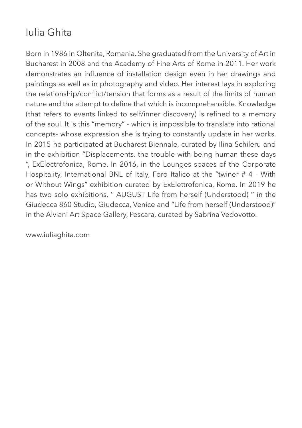# Iulia Ghita

Born in 1986 in Oltenita, Romania. She graduated from the University of Art in Bucharest in 2008 and the Academy of Fine Arts of Rome in 2011. Her work demonstrates an influence of installation design even in her drawings and paintings as well as in photography and video. Her interest lays in exploring the relationship/conflict/tension that forms as a result of the limits of human nature and the attempt to define that which is incomprehensible. Knowledge (that refers to events linked to self/inner discovery) is refined to a memory of the soul. It is this "memory" - which is impossible to translate into rational concepts- whose expression she is trying to constantly update in her works. In 2015 he participated at Bucharest Biennale, curated by Ilina Schileru and in the exhibition "Displacements. the trouble with being human these days ", ExElectrofonica, Rome. In 2016, in the Lounges spaces of the Corporate Hospitality, International BNL of Italy, Foro Italico at the "twiner # 4 - With or Without Wings" exhibition curated by ExElettrofonica, Rome. In 2019 he has two solo exhibitions, '' AUGUST Life from herself (Understood) '' in the Giudecca 860 Studio, Giudecca, Venice and "Life from herself (Understood)" in the Alviani Art Space Gallery, Pescara, curated by Sabrina Vedovotto.

www.iuliaghita.com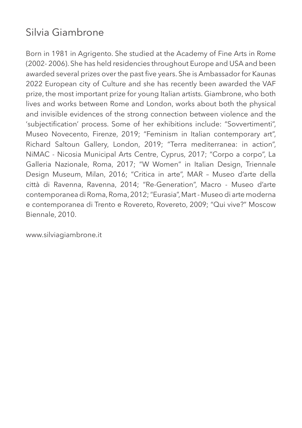# Silvia Giambrone

Born in 1981 in Agrigento. She studied at the Academy of Fine Arts in Rome (2002- 2006). She has held residencies throughout Europe and USA and been awarded several prizes over the past five years. She is Ambassador for Kaunas 2022 European city of Culture and she has recently been awarded the VAF prize, the most important prize for young Italian artists. Giambrone, who both lives and works between Rome and London, works about both the physical and invisible evidences of the strong connection between violence and the 'subjectification' process. Some of her exhibitions include: "Sovvertimenti", Museo Novecento, Firenze, 2019; "Feminism in Italian contemporary art", Richard Saltoun Gallery, London, 2019; "Terra mediterranea: in action", NiMAC - Nicosia Municipal Arts Centre, Cyprus, 2017; "Corpo a corpo", La Galleria Nazionale, Roma, 2017; "W Women" in Italian Design, Triennale Design Museum, Milan, 2016; "Critica in arte", MAR – Museo d'arte della città di Ravenna, Ravenna, 2014; "Re-Generation", Macro - Museo d'arte contemporanea di Roma, Roma, 2012; "Eurasia", Mart - Museo di arte moderna e contemporanea di Trento e Rovereto, Rovereto, 2009; "Qui vive?" Moscow Biennale, 2010.

www.silviagiambrone.it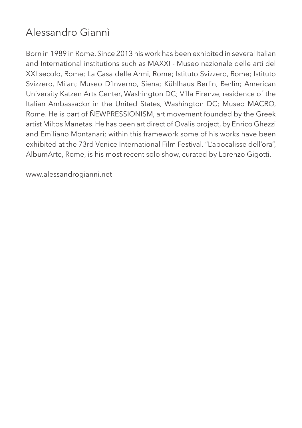# Alessandro Giannì

Born in 1989 in Rome. Since 2013 his work has been exhibited in several Italian and International institutions such as MAXXI - Museo nazionale delle arti del XXI secolo, Rome; La Casa delle Armi, Rome; Istituto Svizzero, Rome; Istituto Svizzero, Milan; Museo D'Inverno, Siena; Kühlhaus Berlin, Berlin; American University Katzen Arts Center, Washington DC; Villa Firenze, residence of the Italian Ambassador in the United States, Washington DC; Museo MACRO, Rome. He is part of ÑEWPRESSIONISM, art movement founded by the Greek artist Miltos Manetas. He has been art direct of Ovalis project, by Enrico Ghezzi and Emiliano Montanari; within this framework some of his works have been exhibited at the 73rd Venice International Film Festival. "L'apocalisse dell'ora", AlbumArte, Rome, is his most recent solo show, curated by Lorenzo Gigotti.

www.alessandrogianni.net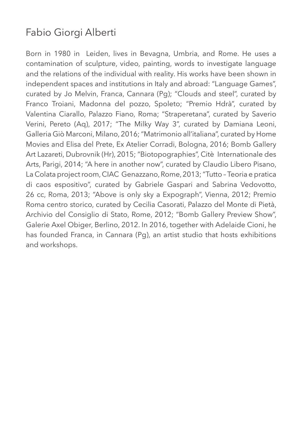# Fabio Giorgi Alberti

Born in 1980 in Leiden, lives in Bevagna, Umbria, and Rome. He uses a contamination of sculpture, video, painting, words to investigate language and the relations of the individual with reality. His works have been shown in independent spaces and institutions in Italy and abroad: "Language Games", curated by Jo Melvin, Franca, Cannara (Pg); "Clouds and steel", curated by Franco Troiani, Madonna del pozzo, Spoleto; "Premio Hdrà", curated by Valentina Ciarallo, Palazzo Fiano, Roma; "Straperetana", curated by Saverio Verini, Pereto (Aq), 2017; "The Milky Way 3", curated by Damiana Leoni, Galleria Giò Marconi, Milano, 2016; "Matrimonio all'italiana", curated by Home Movies and Elisa del Prete, Ex Atelier Corradi, Bologna, 2016; Bomb Gallery Art Lazareti, Dubrovnik (Hr), 2015; "Biotopographies", Citè Internationale des Arts, Parigi, 2014; "A here in another now", curated by Claudio Libero Pisano, La Colata project room, CIAC Genazzano, Rome, 2013; "Tutto – Teoria e pratica di caos espositivo", curated by Gabriele Gaspari and Sabrina Vedovotto, 26 cc, Roma, 2013; "Above is only sky a Expograph", Vienna, 2012; Premio Roma centro storico, curated by Cecilia Casorati, Palazzo del Monte di Pietà, Archivio del Consiglio di Stato, Rome, 2012; "Bomb Gallery Preview Show", Galerie Axel Obiger, Berlino, 2012. In 2016, together with Adelaide Cioni, he has founded Franca, in Cannara (Pg), an artist studio that hosts exhibitions and workshops.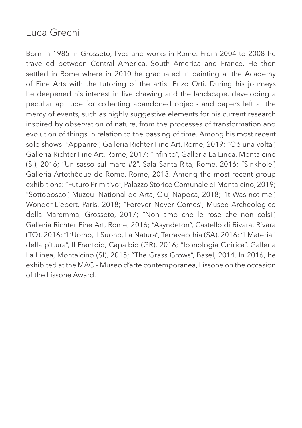## Luca Grechi

Born in 1985 in Grosseto, lives and works in Rome. From 2004 to 2008 he travelled between Central America, South America and France. He then settled in Rome where in 2010 he graduated in painting at the Academy of Fine Arts with the tutoring of the artist Enzo Orti. During his journeys he deepened his interest in live drawing and the landscape, developing a peculiar aptitude for collecting abandoned objects and papers left at the mercy of events, such as highly suggestive elements for his current research inspired by observation of nature, from the processes of transformation and evolution of things in relation to the passing of time. Among his most recent solo shows: "Apparire", Galleria Richter Fine Art, Rome, 2019; "C'è una volta", Galleria Richter Fine Art, Rome, 2017; "Infinito", Galleria La Linea, Montalcino (SI), 2016; "Un sasso sul mare #2", Sala Santa Rita, Rome, 2016; "Sinkhole", Galleria Artothèque de Rome, Rome, 2013. Among the most recent group exhibitions: "Futuro Primitivo", Palazzo Storico Comunale di Montalcino, 2019; "Sottobosco", Muzeul National de Arta, Cluj-Napoca, 2018; "It Was not me", Wonder-Liebert, Paris, 2018; "Forever Never Comes", Museo Archeologico della Maremma, Grosseto, 2017; "Non amo che le rose che non colsi", Galleria Richter Fine Art, Rome, 2016; "Asyndeton", Castello di Rivara, Rivara (TO), 2016; "L'Uomo, Il Suono, La Natura", Terravecchia (SA), 2016; "I Materiali della pittura", Il Frantoio, Capalbio (GR), 2016; "Iconologia Onirica", Galleria La Linea, Montalcino (SI), 2015; "The Grass Grows", Basel, 2014. In 2016, he exhibited at the MAC – Museo d'arte contemporanea, Lissone on the occasion of the Lissone Award.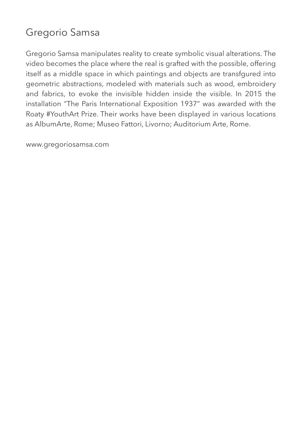# Gregorio Samsa

Gregorio Samsa manipulates reality to create symbolic visual alterations. The video becomes the place where the real is grafted with the possible, offering itself as a middle space in which paintings and objects are transfgured into geometric abstractions, modeled with materials such as wood, embroidery and fabrics, to evoke the invisible hidden inside the visible. In 2015 the installation "The Paris International Exposition 1937" was awarded with the Roaty #YouthArt Prize. Their works have been displayed in various locations as AlbumArte, Rome; Museo Fattori, Livorno; Auditorium Arte, Rome.

www.gregoriosamsa.com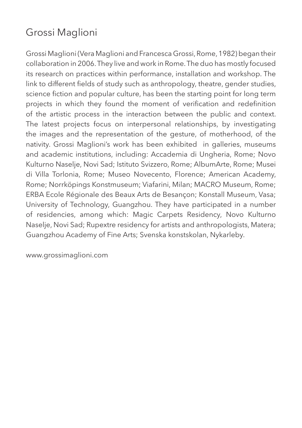## Grossi Maglioni

Grossi Maglioni (Vera Maglioni and Francesca Grossi, Rome, 1982) began their collaboration in 2006. They live and work in Rome. The duo has mostly focused its research on practices within performance, installation and workshop. The link to different fields of study such as anthropology, theatre, gender studies, science fiction and popular culture, has been the starting point for long term projects in which they found the moment of verification and redefinition of the artistic process in the interaction between the public and context. The latest projects focus on interpersonal relationships, by investigating the images and the representation of the gesture, of motherhood, of the nativity. Grossi Maglioni's work has been exhibited in galleries, museums and academic institutions, including: Accademia di Ungheria, Rome; Novo Kulturno Naselje, Novi Sad; Istituto Svizzero, Rome; AlbumArte, Rome; Musei di Villa Torlonia, Rome; Museo Novecento, Florence; American Academy, Rome; Norrköpings Konstmuseum; Viafarini, Milan; MACRO Museum, Rome; ERBA Ecole Régionale des Beaux Arts de Besançon; Konstall Museum, Vasa; University of Technology, Guangzhou. They have participated in a number of residencies, among which: Magic Carpets Residency, Novo Kulturno Naselje, Novi Sad; Rupextre residency for artists and anthropologists, Matera; Guangzhou Academy of Fine Arts; Svenska konstskolan, Nykarleby.

www.grossimaglioni.com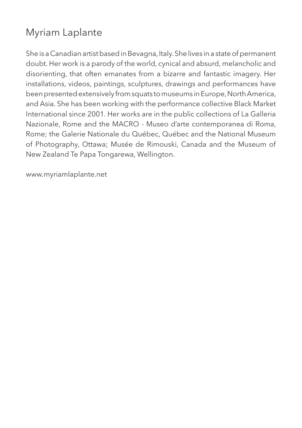## Myriam Laplante

She is a Canadian artist based in Bevagna, Italy. She lives in a state of permanent doubt. Her work is a parody of the world, cynical and absurd, melancholic and disorienting, that often emanates from a bizarre and fantastic imagery. Her installations, videos, paintings, sculptures, drawings and performances have been presented extensively from squats to museums in Europe, North America, and Asia. She has been working with the performance collective Black Market International since 2001. Her works are in the public collections of La Galleria Nazionale, Rome and the MACRO - Museo d'arte contemporanea di Roma, Rome; the Galerie Nationale du Québec, Québec and the National Museum of Photography, Ottawa; Musée de Rimouski, Canada and the Museum of New Zealand Te Papa Tongarewa, Wellington.

www.myriamlaplante.net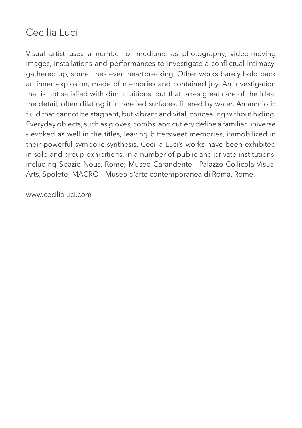## Cecilia Luci

Visual artist uses a number of mediums as photography, video-moving images, installations and performances to investigate a conflictual intimacy, gathered up, sometimes even heartbreaking. Other works barely hold back an inner explosion, made of memories and contained joy. An investigation that is not satisfied with dim intuitions, but that takes great care of the idea, the detail, often dilating it in rarefied surfaces, filtered by water. An amniotic fluid that cannot be stagnant, but vibrant and vital, concealing without hiding. Everyday objects, such as gloves, combs, and cutlery define a familiar universe - evoked as well in the titles, leaving bittersweet memories, immobilized in their powerful symbolic synthesis. Cecilia Luci's works have been exhibited in solo and group exhibitions, in a number of public and private institutions, including Spazio Nous, Rome; Museo Carandente - Palazzo Collicola Visual Arts, Spoleto; MACRO – Museo d'arte contemporanea di Roma, Rome.

www.cecilialuci.com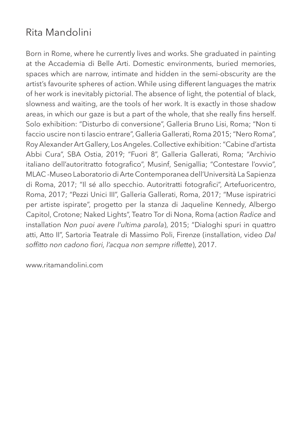# Rita Mandolini

Born in Rome, where he currently lives and works. She graduated in painting at the Accademia di Belle Arti. Domestic environments, buried memories, spaces which are narrow, intimate and hidden in the semi-obscurity are the artist's favourite spheres of action. While using different languages the matrix of her work is inevitably pictorial. The absence of light, the potential of black, slowness and waiting, are the tools of her work. It is exactly in those shadow areas, in which our gaze is but a part of the whole, that she really fins herself. Solo exhibition: "Disturbo di conversione", Galleria Bruno Lisi, Roma; "Non ti faccio uscire non ti lascio entrare", Galleria Gallerati, Roma 2015; "Nero Roma", Roy Alexander Art Gallery, Los Angeles. Collective exhibition: "Cabine d'artista Abbi Cura", SBA Ostia, 2019; "Fuori 8", Galleria Gallerati, Roma; "Archivio italiano dell'autoritratto fotografico", Musinf, Senigallia; "Contestare l'ovvio", MLAC -Museo Laboratorio di Arte Contemporanea dell'Università La Sapienza di Roma, 2017; "Il sé allo specchio. Autoritratti fotografici", Artefuoricentro, Roma, 2017; "Pezzi Unici III", Galleria Gallerati, Roma, 2017; "Muse ispiratrici per artiste ispirate", progetto per la stanza di Jaqueline Kennedy, Albergo Capitol, Crotone; Naked Lights", Teatro Tor di Nona, Roma (action *Radice* and installation *Non puoi avere l'ultima parola*), 2015; "Dialoghi spuri in quattro atti, Atto II", Sartoria Teatrale di Massimo Poli, Firenze (installation, video *Dal soffitto non cadono fiori, l'acqua non sempre riflette*), 2017.

www.ritamandolini.com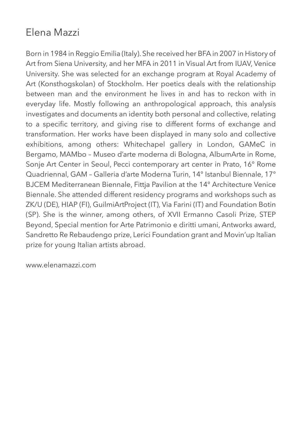#### Elena Mazzi

Born in 1984 in Reggio Emilia (Italy). She received her BFA in 2007 in History of Art from Siena University, and her MFA in 2011 in Visual Art from IUAV, Venice University. She was selected for an exchange program at Royal Academy of Art (Konsthogskolan) of Stockholm. Her poetics deals with the relationship between man and the environment he lives in and has to reckon with in everyday life. Mostly following an anthropological approach, this analysis investigates and documents an identity both personal and collective, relating to a specific territory, and giving rise to different forms of exchange and transformation. Her works have been displayed in many solo and collective exhibitions, among others: Whitechapel gallery in London, GAMeC in Bergamo, MAMbo – Museo d'arte moderna di Bologna, AlbumArte in Rome, Sonje Art Center in Seoul, Pecci contemporary art center in Prato, 16° Rome Quadriennal, GAM – Galleria d'arte Moderna Turin, 14° Istanbul Biennale, 17° BJCEM Mediterranean Biennale, Fittja Pavilion at the 14° Architecture Venice Biennale. She attended different residency programs and workshops such as ZK/U (DE), HIAP (FI), GuilmiArtProject (IT), Via Farini (IT) and Foundation Botin (SP). She is the winner, among others, of XVII Ermanno Casoli Prize, STEP Beyond, Special mention for Arte Patrimonio e diritti umani, Antworks award, Sandretto Re Rebaudengo prize, Lerici Foundation grant and Movin'up Italian prize for young Italian artists abroad.

www.elenamazzi.com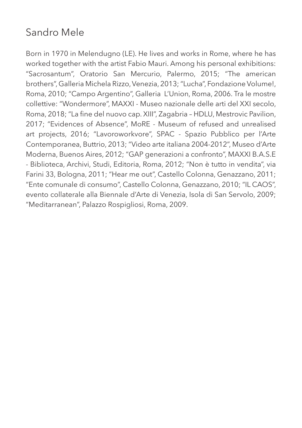## Sandro Mele

Born in 1970 in Melendugno (LE). He lives and works in Rome, where he has worked together with the artist Fabio Mauri. Among his personal exhibitions: "Sacrosantum", Oratorio San Mercurio, Palermo, 2015; "The american brothers", Galleria Michela Rizzo, Venezia, 2013; "Lucha", Fondazione Volume!, Roma, 2010; "Campo Argentino", Galleria L'Union, Roma, 2006. Tra le mostre collettive: "Wondermore", MAXXI - Museo nazionale delle arti del XXI secolo, Roma, 2018; "La fine del nuovo cap. XIII", Zagabria – HDLU, Mestrovic Pavilion, 2017; "Evidences of Absence", MoRE - Museum of refused and unrealised art projects, 2016; "Lavoroworkvore", SPAC - Spazio Pubblico per l'Arte Contemporanea, Buttrio, 2013; "Video arte italiana 2004-2012", Museo d'Arte Moderna, Buenos Aires, 2012; "GAP generazioni a confronto", MAXXI B.A.S.E - Biblioteca, Archivi, Studi, Editoria, Roma, 2012; "Non è tutto in vendita", via Farini 33, Bologna, 2011; "Hear me out", Castello Colonna, Genazzano, 2011; "Ente comunale di consumo", Castello Colonna, Genazzano, 2010; "IL CAOS", evento collaterale alla Biennale d'Arte di Venezia, Isola di San Servolo, 2009; "Meditarranean", Palazzo Rospigliosi, Roma, 2009.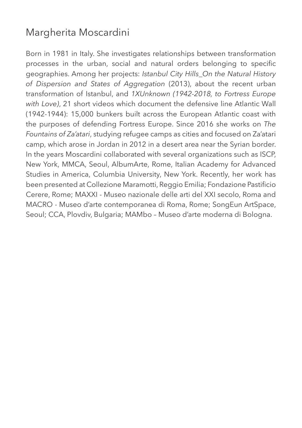#### Margherita Moscardini

Born in 1981 in Italy. She investigates relationships between transformation processes in the urban, social and natural orders belonging to specific geographies. Among her projects: *Istanbul City Hills\_On the Natural History of Dispersion and States of Aggregation* (2013), about the recent urban transformation of Istanbul, and *1XUnknown (1942-2018, to Fortress Europe with Love)*, 21 short videos which document the defensive line Atlantic Wall (1942-1944): 15,000 bunkers built across the European Atlantic coast with the purposes of defending Fortress Europe. Since 2016 she works on *The Fountains of Za'atari*, studying refugee camps as cities and focused on Za'atari camp, which arose in Jordan in 2012 in a desert area near the Syrian border. In the years Moscardini collaborated with several organizations such as ISCP, New York, MMCA, Seoul, AlbumArte, Rome, Italian Academy for Advanced Studies in America, Columbia University, New York. Recently, her work has been presented at Collezione Maramotti, Reggio Emilia; Fondazione Pastificio Cerere, Rome; MAXXI - Museo nazionale delle arti del XXI secolo, Roma and MACRO - Museo d'arte contemporanea di Roma, Rome; SongEun ArtSpace, Seoul; CCA, Plovdiv, Bulgaria; MAMbo – Museo d'arte moderna di Bologna.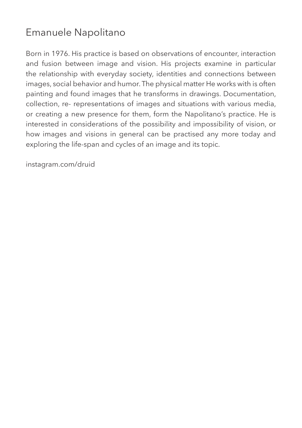## Emanuele Napolitano

Born in 1976. His practice is based on observations of encounter, interaction and fusion between image and vision. His projects examine in particular the relationship with everyday society, identities and connections between images, social behavior and humor. The physical matter He works with is often painting and found images that he transforms in drawings. Documentation, collection, re- representations of images and situations with various media, or creating a new presence for them, form the Napolitano's practice. He is interested in considerations of the possibility and impossibility of vision, or how images and visions in general can be practised any more today and exploring the life-span and cycles of an image and its topic.

instagram.com/druid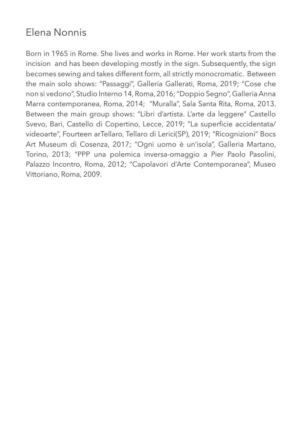## Elena Nonnis

Born in 1965 in Rome. She lives and works in Rome. Her work starts from the incision and has been developing mostly in the sign. Subsequently, the sign becomes sewing and takes different form, all strictly monocromatic. Between the main solo shows: "Passaggi", Galleria Gallerati, Roma, 2019; "Cose che non si vedono", Studio Interno 14, Roma, 2016; "Doppio Segno", Galleria Anna Marra contemporanea, Roma, 2014; "Muralla", Sala Santa Rita, Roma, 2013. Between the main group shows: "Libri d'artista. L'arte da leggere" Castello Svevo, Bari, Castello di Copertino, Lecce, 2019; "La superficie accidentata/ videoarte", Fourteen arTellaro, Tellaro di Lerici(SP), 2019; "Ricognizioni" Bocs Art Museum di Cosenza, 2017; "Ogni uomo è un'isola", Galleria Martano, Torino, 2013; "PPP una polemica inversa-omaggio a Pier Paolo Pasolini, Palazzo Incontro, Roma, 2012; "Capolavori d'Arte Contemporanea", Museo Vittoriano, Roma, 2009.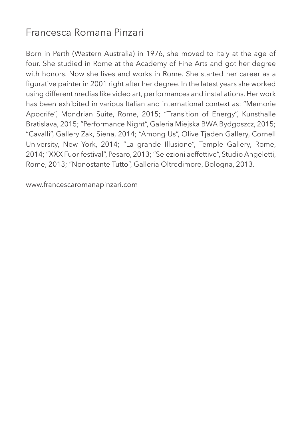#### Francesca Romana Pinzari

Born in Perth (Western Australia) in 1976, she moved to Italy at the age of four. She studied in Rome at the Academy of Fine Arts and got her degree with honors. Now she lives and works in Rome. She started her career as a figurative painter in 2001 right after her degree. In the latest years she worked using different medias like video art, performances and installations. Her work has been exhibited in various Italian and international context as: "Memorie Apocrife", Mondrian Suite, Rome, 2015; "Transition of Energy", Kunsthalle Bratislava, 2015; "Performance Night", Galeria Miejska BWA Bydgoszcz, 2015; "Cavalli", Gallery Zak, Siena, 2014; "Among Us", Olive Tjaden Gallery, Cornell University, New York, 2014; "La grande Illusione", Temple Gallery, Rome, 2014; "XXX Fuorifestival", Pesaro, 2013; "Selezioni aeffettive", Studio Angeletti, Rome, 2013; "Nonostante Tutto", Galleria Oltredimore, Bologna, 2013.

www.francescaromanapinzari.com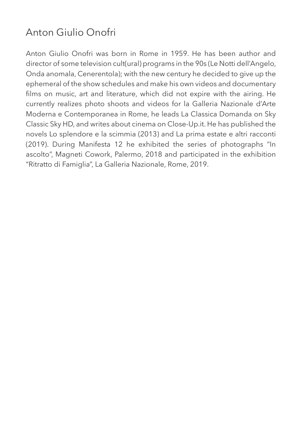# Anton Giulio Onofri

Anton Giulio Onofri was born in Rome in 1959. He has been author and director of some television cult(ural) programs in the 90s (Le Notti dell'Angelo, Onda anomala, Cenerentola); with the new century he decided to give up the ephemeral of the show schedules and make his own videos and documentary films on music, art and literature, which did not expire with the airing. He currently realizes photo shoots and videos for la Galleria Nazionale d'Arte Moderna e Contemporanea in Rome, he leads La Classica Domanda on Sky Classic Sky HD, and writes about cinema on Close-Up.it. He has published the novels Lo splendore e la scimmia (2013) and La prima estate e altri racconti (2019). During Manifesta 12 he exhibited the series of photographs "In ascolto", Magneti Cowork, Palermo, 2018 and participated in the exhibition "Ritratto di Famiglia", La Galleria Nazionale, Rome, 2019.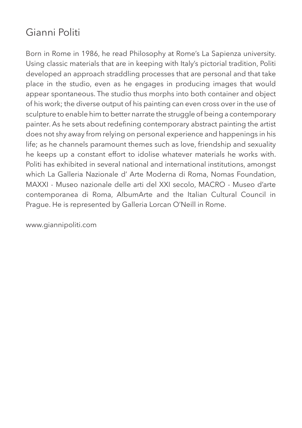# Gianni Politi

Born in Rome in 1986, he read Philosophy at Rome's La Sapienza university. Using classic materials that are in keeping with Italy's pictorial tradition, Politi developed an approach straddling processes that are personal and that take place in the studio, even as he engages in producing images that would appear spontaneous. The studio thus morphs into both container and object of his work; the diverse output of his painting can even cross over in the use of sculpture to enable him to better narrate the struggle of being a contemporary painter. As he sets about redefining contemporary abstract painting the artist does not shy away from relying on personal experience and happenings in his life; as he channels paramount themes such as love, friendship and sexuality he keeps up a constant effort to idolise whatever materials he works with. Politi has exhibited in several national and international institutions, amongst which La Galleria Nazionale d' Arte Moderna di Roma, Nomas Foundation, MAXXI - Museo nazionale delle arti del XXI secolo, MACRO - Museo d'arte contemporanea di Roma, AlbumArte and the Italian Cultural Council in Prague. He is represented by Galleria Lorcan O'Neill in Rome.

www.giannipoliti.com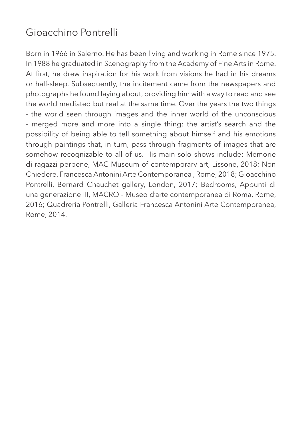## Gioacchino Pontrelli

Born in 1966 in Salerno. He has been living and working in Rome since 1975. In 1988 he graduated in Scenography from the Academy of Fine Arts in Rome. At first, he drew inspiration for his work from visions he had in his dreams or half-sleep. Subsequently, the incitement came from the newspapers and photographs he found laying about, providing him with a way to read and see the world mediated but real at the same time. Over the years the two things - the world seen through images and the inner world of the unconscious - merged more and more into a single thing: the artist's search and the possibility of being able to tell something about himself and his emotions through paintings that, in turn, pass through fragments of images that are somehow recognizable to all of us. His main solo shows include: Memorie di ragazzi perbene, MAC Museum of contemporary art, Lissone, 2018; Non Chiedere, Francesca Antonini Arte Contemporanea , Rome, 2018; Gioacchino Pontrelli, Bernard Chauchet gallery, London, 2017; Bedrooms, Appunti di una generazione III, MACRO - Museo d'arte contemporanea di Roma, Rome, 2016; Quadreria Pontrelli, Galleria Francesca Antonini Arte Contemporanea, Rome, 2014.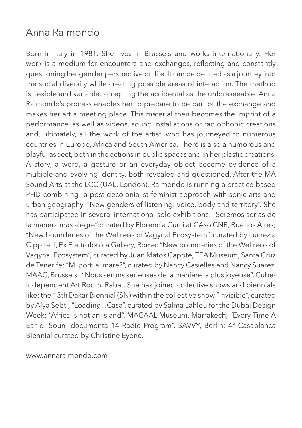#### Anna Raimondo

Born in Italy in 1981. She lives in Brussels and works internationally. Her work is a medium for encounters and exchanges, reflecting and constantly questioning her gender perspective on life. It can be defined as a journey into the social diversity while creating possible areas of interaction. The method is flexible and variable, accepting the accidental as the unforeseeable. Anna Raimondo's process enables her to prepare to be part of the exchange and makes her art a meeting place. This material then becomes the imprint of a performance, as well as videos, sound installations or radiophonic creations and, ultimately, all the work of the artist, who has journeyed to numerous countries in Europe, Africa and South America. There is also a humorous and playful aspect, both in the actions in public spaces and in her plastic creations. A story, a word, a gesture or an everyday object become evidence of a multiple and evolving identity, both revealed and questioned. After the MA Sound Arts at the LCC (UAL, London), Raimondo is running a practice based PHD combining a post-decolonialist feminist approach with sonic arts and urban geography, "New genders of listening: voice, body and territory". She has participated in several international solo exhibitions: "Seremos serias de la manera más alegre" curated by Florencia Curci at CAso CNB, Buenos Aires; "New bounderies of the Wellness of Vagynal Ecosystem", curated by Lucrezia Cippitelli, Ex Elettrofonica Gallery, Rome; "New bounderies of the Wellness of Vagynal Ecosystem", curated by Juan Matos Capote, TEA Museum, Santa Cruz de Tenerife; "Mi porti al mare?", curated by Nancy Casielles and Nancy Suárez, MAAC, Brussels; "Nous serons sérieuses de la manière la plus joyeuse", Cube-Independent Art Room, Rabat. She has joined collective shows and biennials like: the 13th Dakar Biennial (SN) within the collective show "Invisible", curated by Alya Sebti; "Loading...Casa", curated by Salma Lahlou for the Dubai Design Week; "Africa is not an island", MACAAL Museum, Marrakech; "Every Time A Ear di Soun- documenta 14 Radio Program", SAVVY, Berlin; 4° Casablanca Biennial curated by Christine Eyene.

www.annaraimondo.com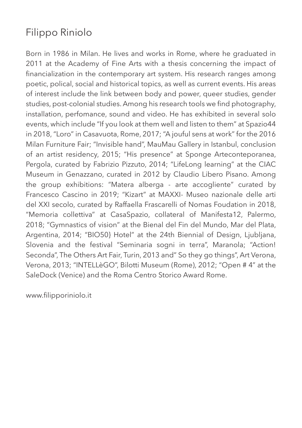# Filippo Riniolo

Born in 1986 in Milan. He lives and works in Rome, where he graduated in 2011 at the Academy of Fine Arts with a thesis concerning the impact of financialization in the contemporary art system. His research ranges among poetic, polical, social and historical topics, as well as current events. His areas of interest include the link between body and power, queer studies, gender studies, post-colonial studies. Among his research tools we find photography, installation, perfomance, sound and video. He has exhibited in several solo events, which include "If you look at them well and listen to them" at Spazio44 in 2018, "Loro" in Casavuota, Rome, 2017; "A jouful sens at work" for the 2016 Milan Furniture Fair; "Invisible hand", MauMau Gallery in Istanbul, conclusion of an artist residency, 2015; "His presence" at Sponge Arteconteporanea, Pergola, curated by Fabrizio Pizzuto, 2014; "LifeLong learning" at the CIAC Museum in Genazzano, curated in 2012 by Claudio Libero Pisano. Among the group exhibitions: "Matera alberga - arte accogliente" curated by Francesco Cascino in 2019; "Kizart" at MAXXI- Museo nazionale delle arti del XXI secolo, curated by Raffaella Frascarelli of Nomas Foudation in 2018, "Memoria collettiva" at CasaSpazio, collateral of Manifesta12, Palermo, 2018; "Gymnastics of vision" at the Bienal del Fin del Mundo, Mar del Plata, Argentina, 2014; "BIO50} Hotel" at the 24th Biennial of Design, Ljubljana, Slovenia and the festival "Seminaria sogni in terra", Maranola; "Action! Seconda", The Others Art Fair, Turin, 2013 and" So they go things", Art Verona, Verona, 2013; "INTELLèGO", Bilotti Museum (Rome), 2012; "Open # 4" at the SaleDock (Venice) and the Roma Centro Storico Award Rome.

www.filipporiniolo.it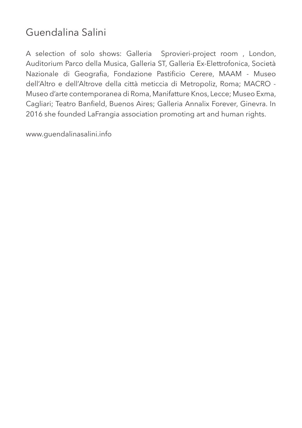## Guendalina Salini

A selection of solo shows: Galleria Sprovieri-project room, London, Auditorium Parco della Musica, Galleria ST, Galleria Ex-Elettrofonica, Società Nazionale di Geografia, Fondazione Pastificio Cerere, MAAM - Museo dell'Altro e dell'Altrove della città meticcia di Metropoliz, Roma; MACRO - Museo d'arte contemporanea di Roma, Manifatture Knos, Lecce; Museo Exma, Cagliari; Teatro Banfield, Buenos Aires; Galleria Annalix Forever, Ginevra. In 2016 she founded LaFrangia association promoting art and human rights.

www.guendalinasalini.info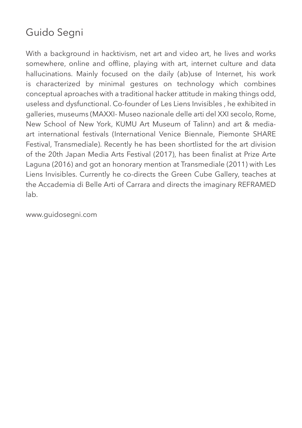# Guido Segni

With a background in hacktivism, net art and video art, he lives and works somewhere, online and offline, playing with art, internet culture and data hallucinations. Mainly focused on the daily (ab)use of Internet, his work is characterized by minimal gestures on technology which combines conceptual aproaches with a traditional hacker attitude in making things odd, useless and dysfunctional. Co-founder of Les Liens Invisibles , he exhibited in galleries, museums (MAXXI- Museo nazionale delle arti del XXI secolo, Rome, New School of New York, KUMU Art Museum of Talinn) and art & mediaart international festivals (International Venice Biennale, Piemonte SHARE Festival, Transmediale). Recently he has been shortlisted for the art division of the 20th Japan Media Arts Festival (2017), has been finalist at Prize Arte Laguna (2016) and got an honorary mention at Transmediale (2011) with Les Liens Invisibles. Currently he co-directs the Green Cube Gallery, teaches at the Accademia di Belle Arti of Carrara and directs the imaginary REFRAMED lab.

www.guidosegni.com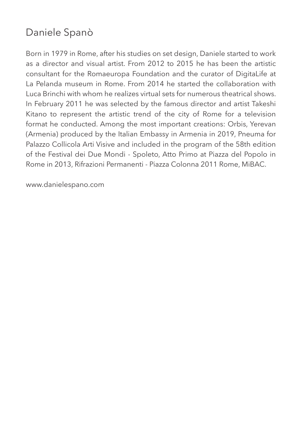# Daniele Spanò

Born in 1979 in Rome, after his studies on set design, Daniele started to work as a director and visual artist. From 2012 to 2015 he has been the artistic consultant for the Romaeuropa Foundation and the curator of DigitaLife at La Pelanda museum in Rome. From 2014 he started the collaboration with Luca Brinchi with whom he realizes virtual sets for numerous theatrical shows. In February 2011 he was selected by the famous director and artist Takeshi Kitano to represent the artistic trend of the city of Rome for a television format he conducted. Among the most important creations: Orbis, Yerevan (Armenia) produced by the Italian Embassy in Armenia in 2019, Pneuma for Palazzo Collicola Arti Visive and included in the program of the 58th edition of the Festival dei Due Mondi - Spoleto, Atto Primo at Piazza del Popolo in Rome in 2013, Rifrazioni Permanenti - Piazza Colonna 2011 Rome, MiBAC.

www.danielespano.com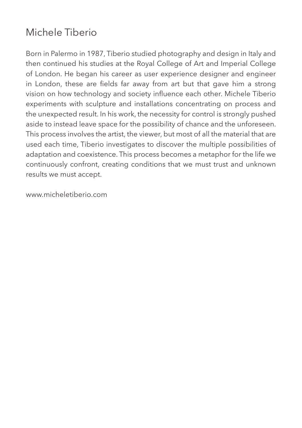#### Michele Tiberio

Born in Palermo in 1987, Tiberio studied photography and design in Italy and then continued his studies at the Royal College of Art and Imperial College of London. He began his career as user experience designer and engineer in London, these are fields far away from art but that gave him a strong vision on how technology and society influence each other. Michele Tiberio experiments with sculpture and installations concentrating on process and the unexpected result. In his work, the necessity for control is strongly pushed aside to instead leave space for the possibility of chance and the unforeseen. This process involves the artist, the viewer, but most of all the material that are used each time, Tiberio investigates to discover the multiple possibilities of adaptation and coexistence. This process becomes a metaphor for the life we continuously confront, creating conditions that we must trust and unknown results we must accept.

www.micheletiberio.com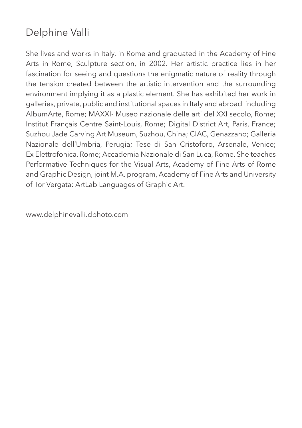# Delphine Valli

She lives and works in Italy, in Rome and graduated in the Academy of Fine Arts in Rome, Sculpture section, in 2002. Her artistic practice lies in her fascination for seeing and questions the enigmatic nature of reality through the tension created between the artistic intervention and the surrounding environment implying it as a plastic element. She has exhibited her work in galleries, private, public and institutional spaces in Italy and abroad including AlbumArte, Rome; MAXXI- Museo nazionale delle arti del XXI secolo, Rome; Institut Français Centre Saint-Louis, Rome; Digital District Art, Paris, France; Suzhou Jade Carving Art Museum, Suzhou, China; CIAC, Genazzano; Galleria Nazionale dell'Umbria, Perugia; Tese di San Cristoforo, Arsenale, Venice; Ex Elettrofonica, Rome; Accademia Nazionale di San Luca, Rome. She teaches Performative Techniques for the Visual Arts, Academy of Fine Arts of Rome and Graphic Design, joint M.A. program, Academy of Fine Arts and University of Tor Vergata: ArtLab Languages of Graphic Art.

www.delphinevalli.dphoto.com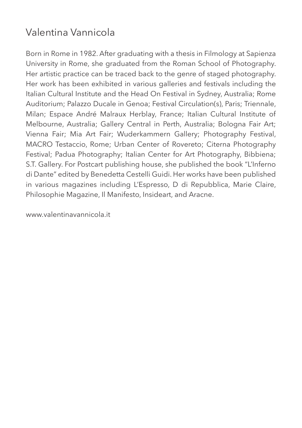## Valentina Vannicola

Born in Rome in 1982. After graduating with a thesis in Filmology at Sapienza University in Rome, she graduated from the Roman School of Photography. Her artistic practice can be traced back to the genre of staged photography. Her work has been exhibited in various galleries and festivals including the Italian Cultural Institute and the Head On Festival in Sydney, Australia; Rome Auditorium; Palazzo Ducale in Genoa; Festival Circulation(s), Paris; Triennale, Milan; Espace André Malraux Herblay, France; Italian Cultural Institute of Melbourne, Australia; Gallery Central in Perth, Australia; Bologna Fair Art; Vienna Fair; Mia Art Fair; Wuderkammern Gallery; Photography Festival, MACRO Testaccio, Rome; Urban Center of Rovereto; Citerna Photography Festival; Padua Photography; Italian Center for Art Photography, Bibbiena; S.T. Gallery. For Postcart publishing house, she published the book "L'Inferno di Dante" edited by Benedetta Cestelli Guidi. Her works have been published in various magazines including L'Espresso, D di Repubblica, Marie Claire, Philosophie Magazine, Il Manifesto, Insideart, and Aracne.

www.valentinavannicola.it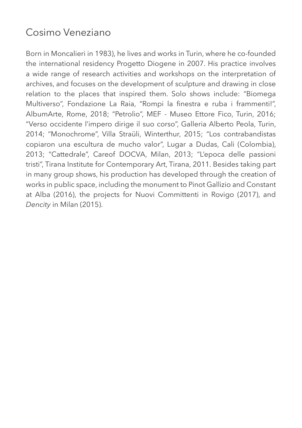#### Cosimo Veneziano

Born in Moncalieri in 1983), he lives and works in Turin, where he co-founded the international residency Progetto Diogene in 2007. His practice involves a wide range of research activities and workshops on the interpretation of archives, and focuses on the development of sculpture and drawing in close relation to the places that inspired them. Solo shows include: "Biomega Multiverso", Fondazione La Raia, "Rompi la finestra e ruba i frammenti!", AlbumArte, Rome, 2018; "Petrolio", MEF - Museo Ettore Fico, Turin, 2016; "Verso occidente l'impero dirige il suo corso", Galleria Alberto Peola, Turin, 2014; "Monochrome", Villa Straüli, Winterthur, 2015; "Los contrabandistas copiaron una escultura de mucho valor", Lugar a Dudas, Cali (Colombia), 2013; "Cattedrale", Careof DOCVA, Milan, 2013; "L'epoca delle passioni tristi", Tirana Institute for Contemporary Art, Tirana, 2011. Besides taking part in many group shows, his production has developed through the creation of works in public space, including the monument to Pinot Gallizio and Constant at Alba (2016), the projects for Nuovi Committenti in Rovigo (2017), and *Dencity* in Milan (2015).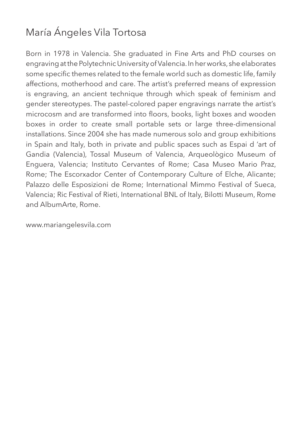# María Ángeles Vila Tortosa

Born in 1978 in Valencia. She graduated in Fine Arts and PhD courses on engraving at the Polytechnic University of Valencia. In her works, she elaborates some specific themes related to the female world such as domestic life, family affections, motherhood and care. The artist's preferred means of expression is engraving, an ancient technique through which speak of feminism and gender stereotypes. The pastel-colored paper engravings narrate the artist's microcosm and are transformed into floors, books, light boxes and wooden boxes in order to create small portable sets or large three-dimensional installations. Since 2004 she has made numerous solo and group exhibitions in Spain and Italy, both in private and public spaces such as Espai d 'art of Gandia (Valencia), Tossal Museum of Valencia, Arqueològico Museum of Enguera, Valencia; Instituto Cervantes of Rome; Casa Museo Mario Praz, Rome; The Escorxador Center of Contemporary Culture of Elche, Alicante; Palazzo delle Esposizioni de Rome; International Mimmo Festival of Sueca, Valencia; Ric Festival of Rieti, International BNL of Italy, Bilotti Museum, Rome and AlbumArte, Rome.

www.mariangelesvila.com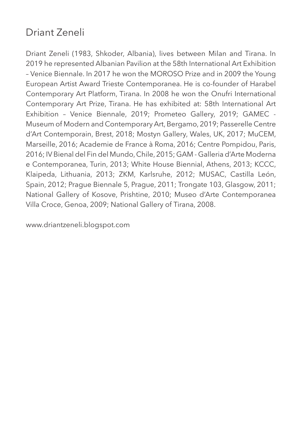## Driant Zeneli

Driant Zeneli (1983, Shkoder, Albania), lives between Milan and Tirana. In 2019 he represented Albanian Pavilion at the 58th International Art Exhibition – Venice Biennale. In 2017 he won the MOROSO Prize and in 2009 the Young European Artist Award Trieste Contemporanea. He is co-founder of Harabel Contemporary Art Platform, Tirana. In 2008 he won the Onufri International Contemporary Art Prize, Tirana. He has exhibited at: 58th International Art Exhibition – Venice Biennale, 2019; Prometeo Gallery, 2019; GAMEC - Museum of Modern and Contemporary Art, Bergamo, 2019; Passerelle Centre d'Art Contemporain, Brest, 2018; Mostyn Gallery, Wales, UK, 2017; MuCEM, Marseille, 2016; Academie de France à Roma, 2016; Centre Pompidou, Paris, 2016; IV Bienal del Fin del Mundo, Chile, 2015; GAM - Galleria d'Arte Moderna e Contemporanea, Turin, 2013; White House Biennial, Athens, 2013; KCCC, Klaipeda, Lithuania, 2013; ZKM, Karlsruhe, 2012; MUSAC, Castilla León, Spain, 2012; Prague Biennale 5, Prague, 2011; Trongate 103, Glasgow, 2011; National Gallery of Kosove, Prishtine, 2010; Museo d'Arte Contemporanea Villa Croce, Genoa, 2009; National Gallery of Tirana, 2008.

www.driantzeneli.blogspot.com